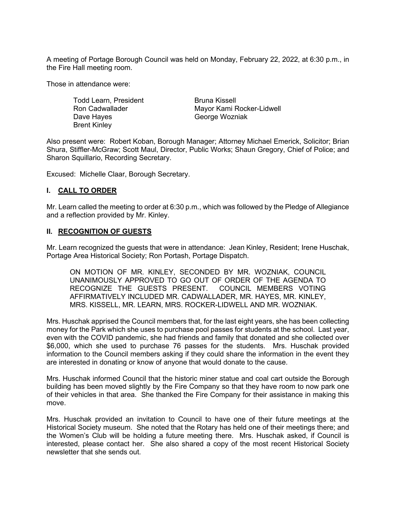A meeting of Portage Borough Council was held on Monday, February 22, 2022, at 6:30 p.m., in the Fire Hall meeting room.

Those in attendance were:

Todd Learn, President Ron Cadwallader Dave Hayes Brent Kinley

Bruna Kissell Mayor Kami Rocker-Lidwell George Wozniak

Also present were: Robert Koban, Borough Manager; Attorney Michael Emerick, Solicitor; Brian Shura, Stiffler-McGraw; Scott Maul, Director, Public Works; Shaun Gregory, Chief of Police; and Sharon Squillario, Recording Secretary.

Excused: Michelle Claar, Borough Secretary.

#### **I. CALL TO ORDER**

Mr. Learn called the meeting to order at 6:30 p.m., which was followed by the Pledge of Allegiance and a reflection provided by Mr. Kinley.

#### **II. RECOGNITION OF GUESTS**

Mr. Learn recognized the guests that were in attendance: Jean Kinley, Resident; Irene Huschak, Portage Area Historical Society; Ron Portash, Portage Dispatch.

ON MOTION OF MR. KINLEY, SECONDED BY MR. WOZNIAK, COUNCIL UNANIMOUSLY APPROVED TO GO OUT OF ORDER OF THE AGENDA TO RECOGNIZE THE GUESTS PRESENT. COUNCIL MEMBERS VOTING AFFIRMATIVELY INCLUDED MR. CADWALLADER, MR. HAYES, MR. KINLEY, MRS. KISSELL, MR. LEARN, MRS. ROCKER-LIDWELL AND MR. WOZNIAK.

Mrs. Huschak apprised the Council members that, for the last eight years, she has been collecting money for the Park which she uses to purchase pool passes for students at the school. Last year, even with the COVID pandemic, she had friends and family that donated and she collected over \$6,000, which she used to purchase 76 passes for the students. Mrs. Huschak provided information to the Council members asking if they could share the information in the event they are interested in donating or know of anyone that would donate to the cause.

Mrs. Huschak informed Council that the historic miner statue and coal cart outside the Borough building has been moved slightly by the Fire Company so that they have room to now park one of their vehicles in that area. She thanked the Fire Company for their assistance in making this move.

Mrs. Huschak provided an invitation to Council to have one of their future meetings at the Historical Society museum. She noted that the Rotary has held one of their meetings there; and the Women's Club will be holding a future meeting there. Mrs. Huschak asked, if Council is interested, please contact her. She also shared a copy of the most recent Historical Society newsletter that she sends out.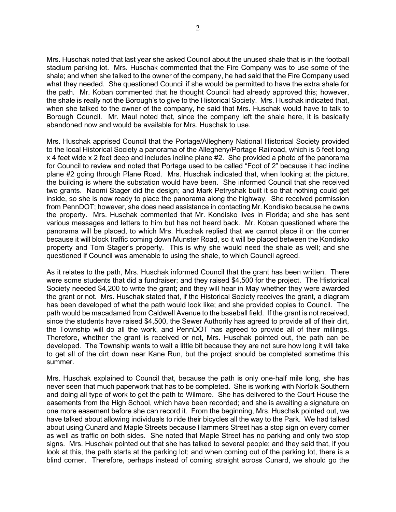Mrs. Huschak noted that last year she asked Council about the unused shale that is in the football stadium parking lot. Mrs. Huschak commented that the Fire Company was to use some of the shale; and when she talked to the owner of the company, he had said that the Fire Company used what they needed. She questioned Council if she would be permitted to have the extra shale for the path. Mr. Koban commented that he thought Council had already approved this; however, the shale is really not the Borough's to give to the Historical Society. Mrs. Huschak indicated that, when she talked to the owner of the company, he said that Mrs. Huschak would have to talk to Borough Council. Mr. Maul noted that, since the company left the shale here, it is basically abandoned now and would be available for Mrs. Huschak to use.

Mrs. Huschak apprised Council that the Portage/Allegheny National Historical Society provided to the local Historical Society a panorama of the Allegheny/Portage Railroad, which is 5 feet long x 4 feet wide x 2 feet deep and includes incline plane #2. She provided a photo of the panorama for Council to review and noted that Portage used to be called "Foot of 2" because it had incline plane #2 going through Plane Road. Mrs. Huschak indicated that, when looking at the picture, the building is where the substation would have been. She informed Council that she received two grants. Naomi Stager did the design; and Mark Petryshak built it so that nothing could get inside, so she is now ready to place the panorama along the highway. She received permission from PennDOT; however, she does need assistance in contacting Mr. Kondisko because he owns the property. Mrs. Huschak commented that Mr. Kondisko lives in Florida; and she has sent various messages and letters to him but has not heard back. Mr. Koban questioned where the panorama will be placed, to which Mrs. Huschak replied that we cannot place it on the corner because it will block traffic coming down Munster Road, so it will be placed between the Kondisko property and Tom Stager's property. This is why she would need the shale as well; and she questioned if Council was amenable to using the shale, to which Council agreed.

As it relates to the path, Mrs. Huschak informed Council that the grant has been written. There were some students that did a fundraiser; and they raised \$4,500 for the project. The Historical Society needed \$4,200 to write the grant; and they will hear in May whether they were awarded the grant or not. Mrs. Huschak stated that, if the Historical Society receives the grant, a diagram has been developed of what the path would look like; and she provided copies to Council. The path would be macadamed from Caldwell Avenue to the baseball field. If the grant is not received, since the students have raised \$4,500, the Sewer Authority has agreed to provide all of their dirt, the Township will do all the work, and PennDOT has agreed to provide all of their millings. Therefore, whether the grant is received or not, Mrs. Huschak pointed out, the path can be developed. The Township wants to wait a little bit because they are not sure how long it will take to get all of the dirt down near Kane Run, but the project should be completed sometime this summer.

Mrs. Huschak explained to Council that, because the path is only one-half mile long, she has never seen that much paperwork that has to be completed. She is working with Norfolk Southern and doing all type of work to get the path to Wilmore. She has delivered to the Court House the easements from the High School, which have been recorded; and she is awaiting a signature on one more easement before she can record it. From the beginning, Mrs. Huschak pointed out, we have talked about allowing individuals to ride their bicycles all the way to the Park. We had talked about using Cunard and Maple Streets because Hammers Street has a stop sign on every corner as well as traffic on both sides. She noted that Maple Street has no parking and only two stop signs. Mrs. Huschak pointed out that she has talked to several people; and they said that, if you look at this, the path starts at the parking lot; and when coming out of the parking lot, there is a blind corner. Therefore, perhaps instead of coming straight across Cunard, we should go the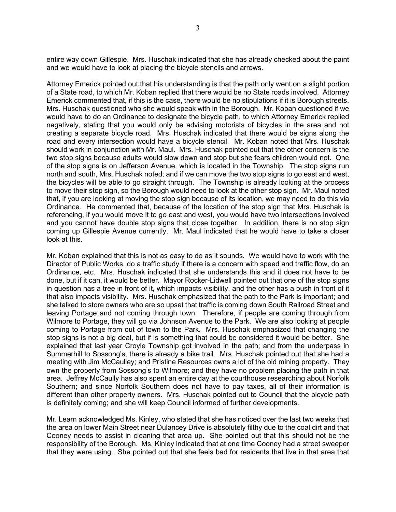entire way down Gillespie. Mrs. Huschak indicated that she has already checked about the paint and we would have to look at placing the bicycle stencils and arrows.

Attorney Emerick pointed out that his understanding is that the path only went on a slight portion of a State road, to which Mr. Koban replied that there would be no State roads involved. Attorney Emerick commented that, if this is the case, there would be no stipulations if it is Borough streets. Mrs. Huschak questioned who she would speak with in the Borough. Mr. Koban questioned if we would have to do an Ordinance to designate the bicycle path, to which Attorney Emerick replied negatively, stating that you would only be advising motorists of bicycles in the area and not creating a separate bicycle road. Mrs. Huschak indicated that there would be signs along the road and every intersection would have a bicycle stencil. Mr. Koban noted that Mrs. Huschak should work in conjunction with Mr. Maul. Mrs. Huschak pointed out that the other concern is the two stop signs because adults would slow down and stop but she fears children would not. One of the stop signs is on Jefferson Avenue, which is located in the Township. The stop signs run north and south, Mrs. Huschak noted; and if we can move the two stop signs to go east and west, the bicycles will be able to go straight through. The Township is already looking at the process to move their stop sign, so the Borough would need to look at the other stop sign. Mr. Maul noted that, if you are looking at moving the stop sign because of its location, we may need to do this via Ordinance. He commented that, because of the location of the stop sign that Mrs. Huschak is referencing, if you would move it to go east and west, you would have two intersections involved and you cannot have double stop signs that close together. In addition, there is no stop sign coming up Gillespie Avenue currently. Mr. Maul indicated that he would have to take a closer look at this.

Mr. Koban explained that this is not as easy to do as it sounds. We would have to work with the Director of Public Works, do a traffic study if there is a concern with speed and traffic flow, do an Ordinance, etc. Mrs. Huschak indicated that she understands this and it does not have to be done, but if it can, it would be better. Mayor Rocker-Lidwell pointed out that one of the stop signs in question has a tree in front of it, which impacts visibility, and the other has a bush in front of it that also impacts visibility. Mrs. Huschak emphasized that the path to the Park is important; and she talked to store owners who are so upset that traffic is coming down South Railroad Street and leaving Portage and not coming through town. Therefore, if people are coming through from Wilmore to Portage, they will go via Johnson Avenue to the Park. We are also looking at people coming to Portage from out of town to the Park. Mrs. Huschak emphasized that changing the stop signs is not a big deal, but if is something that could be considered it would be better. She explained that last year Croyle Township got involved in the path; and from the underpass in Summerhill to Sossong's, there is already a bike trail. Mrs. Huschak pointed out that she had a meeting with Jim McCaulley; and Pristine Resources owns a lot of the old mining property. They own the property from Sossong's to Wilmore; and they have no problem placing the path in that area. Jeffrey McCaully has also spent an entire day at the courthouse researching about Norfolk Southern; and since Norfolk Southern does not have to pay taxes, all of their information is different than other property owners. Mrs. Huschak pointed out to Council that the bicycle path is definitely coming; and she will keep Council informed of further developments.

Mr. Learn acknowledged Ms. Kinley, who stated that she has noticed over the last two weeks that the area on lower Main Street near Dulancey Drive is absolutely filthy due to the coal dirt and that Cooney needs to assist in cleaning that area up. She pointed out that this should not be the responsibility of the Borough. Ms. Kinley indicated that at one time Cooney had a street sweeper that they were using. She pointed out that she feels bad for residents that live in that area that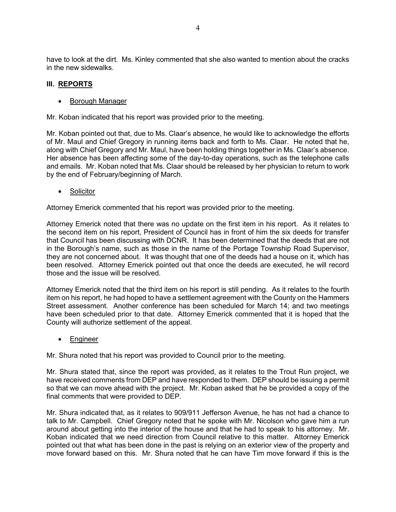have to look at the dirt. Ms. Kinley commented that she also wanted to mention about the cracks in the new sidewalks.

#### **III. REPORTS**

#### • Borough Manager

Mr. Koban indicated that his report was provided prior to the meeting.

Mr. Koban pointed out that, due to Ms. Claar's absence, he would like to acknowledge the efforts of Mr. Maul and Chief Gregory in running items back and forth to Ms. Claar. He noted that he, along with Chief Gregory and Mr. Maul, have been holding things together in Ms. Claar's absence. Her absence has been affecting some of the day-to-day operations, such as the telephone calls and emails. Mr. Koban noted that Ms. Claar should be released by her physician to return to work by the end of February/beginning of March.

• Solicitor

Attorney Emerick commented that his report was provided prior to the meeting.

Attorney Emerick noted that there was no update on the first item in his report. As it relates to the second item on his report, President of Council has in front of him the six deeds for transfer that Council has been discussing with DCNR. It has been determined that the deeds that are not in the Borough's name, such as those in the name of the Portage Township Road Supervisor, they are not concerned about. It was thought that one of the deeds had a house on it, which has been resolved. Attorney Emerick pointed out that once the deeds are executed, he will record those and the issue will be resolved.

Attorney Emerick noted that the third item on his report is still pending. As it relates to the fourth item on his report, he had hoped to have a settlement agreement with the County on the Hammers Street assessment. Another conference has been scheduled for March 14; and two meetings have been scheduled prior to that date. Attorney Emerick commented that it is hoped that the County will authorize settlement of the appeal.

• Engineer

Mr. Shura noted that his report was provided to Council prior to the meeting.

Mr. Shura stated that, since the report was provided, as it relates to the Trout Run project, we have received comments from DEP and have responded to them. DEP should be issuing a permit so that we can move ahead with the project. Mr. Koban asked that he be provided a copy of the final comments that were provided to DEP.

Mr. Shura indicated that, as it relates to 909/911 Jefferson Avenue, he has not had a chance to talk to Mr. Campbell. Chief Gregory noted that he spoke with Mr. Nicolson who gave him a run around about getting into the interior of the house and that he had to speak to his attorney. Mr. Koban indicated that we need direction from Council relative to this matter. Attorney Emerick pointed out that what has been done in the past is relying on an exterior view of the property and move forward based on this. Mr. Shura noted that he can have Tim move forward if this is the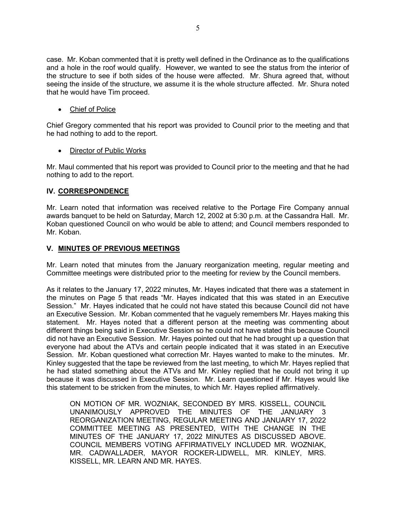case. Mr. Koban commented that it is pretty well defined in the Ordinance as to the qualifications and a hole in the roof would qualify. However, we wanted to see the status from the interior of the structure to see if both sides of the house were affected. Mr. Shura agreed that, without seeing the inside of the structure, we assume it is the whole structure affected. Mr. Shura noted that he would have Tim proceed.

• Chief of Police

Chief Gregory commented that his report was provided to Council prior to the meeting and that he had nothing to add to the report.

• Director of Public Works

Mr. Maul commented that his report was provided to Council prior to the meeting and that he had nothing to add to the report.

## **IV. CORRESPONDENCE**

Mr. Learn noted that information was received relative to the Portage Fire Company annual awards banquet to be held on Saturday, March 12, 2002 at 5:30 p.m. at the Cassandra Hall. Mr. Koban questioned Council on who would be able to attend; and Council members responded to Mr. Koban.

#### **V. MINUTES OF PREVIOUS MEETINGS**

Mr. Learn noted that minutes from the January reorganization meeting, regular meeting and Committee meetings were distributed prior to the meeting for review by the Council members.

As it relates to the January 17, 2022 minutes, Mr. Hayes indicated that there was a statement in the minutes on Page 5 that reads "Mr. Hayes indicated that this was stated in an Executive Session." Mr. Hayes indicated that he could not have stated this because Council did not have an Executive Session. Mr. Koban commented that he vaguely remembers Mr. Hayes making this statement. Mr. Hayes noted that a different person at the meeting was commenting about different things being said in Executive Session so he could not have stated this because Council did not have an Executive Session. Mr. Hayes pointed out that he had brought up a question that everyone had about the ATVs and certain people indicated that it was stated in an Executive Session. Mr. Koban questioned what correction Mr. Hayes wanted to make to the minutes. Mr. Kinley suggested that the tape be reviewed from the last meeting, to which Mr. Hayes replied that he had stated something about the ATVs and Mr. Kinley replied that he could not bring it up because it was discussed in Executive Session. Mr. Learn questioned if Mr. Hayes would like this statement to be stricken from the minutes, to which Mr. Hayes replied affirmatively.

ON MOTION OF MR. WOZNIAK, SECONDED BY MRS. KISSELL, COUNCIL UNANIMOUSLY APPROVED THE MINUTES OF THE JANUARY 3 REORGANIZATION MEETING, REGULAR MEETING AND JANUARY 17, 2022 COMMITTEE MEETING AS PRESENTED, WITH THE CHANGE IN THE MINUTES OF THE JANUARY 17, 2022 MINUTES AS DISCUSSED ABOVE. COUNCIL MEMBERS VOTING AFFIRMATIVELY INCLUDED MR. WOZNIAK, MR. CADWALLADER, MAYOR ROCKER-LIDWELL, MR. KINLEY, MRS. KISSELL, MR. LEARN AND MR. HAYES.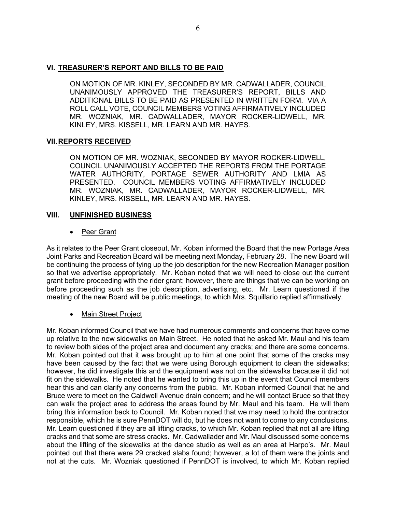## **VI. TREASURER'S REPORT AND BILLS TO BE PAID**

ON MOTION OF MR. KINLEY, SECONDED BY MR. CADWALLADER, COUNCIL UNANIMOUSLY APPROVED THE TREASURER'S REPORT, BILLS AND ADDITIONAL BILLS TO BE PAID AS PRESENTED IN WRITTEN FORM. VIA A ROLL CALL VOTE, COUNCIL MEMBERS VOTING AFFIRMATIVELY INCLUDED MR. WOZNIAK, MR. CADWALLADER, MAYOR ROCKER-LIDWELL, MR. KINLEY, MRS. KISSELL, MR. LEARN AND MR. HAYES.

## **VII.REPORTS RECEIVED**

ON MOTION OF MR. WOZNIAK, SECONDED BY MAYOR ROCKER-LIDWELL, COUNCIL UNANIMOUSLY ACCEPTED THE REPORTS FROM THE PORTAGE WATER AUTHORITY, PORTAGE SEWER AUTHORITY AND LMIA AS PRESENTED. COUNCIL MEMBERS VOTING AFFIRMATIVELY INCLUDED MR. WOZNIAK, MR. CADWALLADER, MAYOR ROCKER-LIDWELL, MR. KINLEY, MRS. KISSELL, MR. LEARN AND MR. HAYES.

## **VIII. UNFINISHED BUSINESS**

• Peer Grant

As it relates to the Peer Grant closeout, Mr. Koban informed the Board that the new Portage Area Joint Parks and Recreation Board will be meeting next Monday, February 28. The new Board will be continuing the process of tying up the job description for the new Recreation Manager position so that we advertise appropriately. Mr. Koban noted that we will need to close out the current grant before proceeding with the rider grant; however, there are things that we can be working on before proceeding such as the job description, advertising, etc. Mr. Learn questioned if the meeting of the new Board will be public meetings, to which Mrs. Squillario replied affirmatively.

# • Main Street Project

Mr. Koban informed Council that we have had numerous comments and concerns that have come up relative to the new sidewalks on Main Street. He noted that he asked Mr. Maul and his team to review both sides of the project area and document any cracks; and there are some concerns. Mr. Koban pointed out that it was brought up to him at one point that some of the cracks may have been caused by the fact that we were using Borough equipment to clean the sidewalks; however, he did investigate this and the equipment was not on the sidewalks because it did not fit on the sidewalks. He noted that he wanted to bring this up in the event that Council members hear this and can clarify any concerns from the public. Mr. Koban informed Council that he and Bruce were to meet on the Caldwell Avenue drain concern; and he will contact Bruce so that they can walk the project area to address the areas found by Mr. Maul and his team. He will them bring this information back to Council. Mr. Koban noted that we may need to hold the contractor responsible, which he is sure PennDOT will do, but he does not want to come to any conclusions. Mr. Learn questioned if they are all lifting cracks, to which Mr. Koban replied that not all are lifting cracks and that some are stress cracks. Mr. Cadwallader and Mr. Maul discussed some concerns about the lifting of the sidewalks at the dance studio as well as an area at Harpo's. Mr. Maul pointed out that there were 29 cracked slabs found; however, a lot of them were the joints and not at the cuts. Mr. Wozniak questioned if PennDOT is involved, to which Mr. Koban replied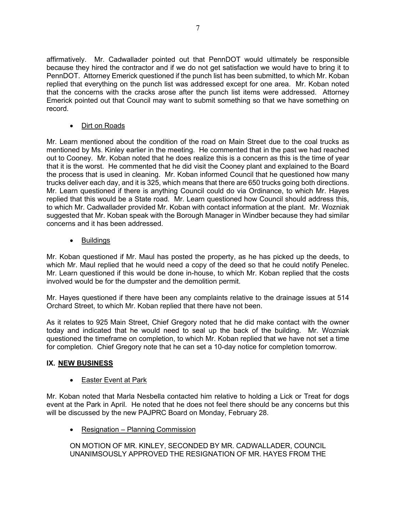affirmatively. Mr. Cadwallader pointed out that PennDOT would ultimately be responsible because they hired the contractor and if we do not get satisfaction we would have to bring it to PennDOT. Attorney Emerick questioned if the punch list has been submitted, to which Mr. Koban replied that everything on the punch list was addressed except for one area. Mr. Koban noted that the concerns with the cracks arose after the punch list items were addressed. Attorney Emerick pointed out that Council may want to submit something so that we have something on record.

• Dirt on Roads

Mr. Learn mentioned about the condition of the road on Main Street due to the coal trucks as mentioned by Ms. Kinley earlier in the meeting. He commented that in the past we had reached out to Cooney. Mr. Koban noted that he does realize this is a concern as this is the time of year that it is the worst. He commented that he did visit the Cooney plant and explained to the Board the process that is used in cleaning. Mr. Koban informed Council that he questioned how many trucks deliver each day, and it is 325, which means that there are 650 trucks going both directions. Mr. Learn questioned if there is anything Council could do via Ordinance, to which Mr. Hayes replied that this would be a State road. Mr. Learn questioned how Council should address this, to which Mr. Cadwallader provided Mr. Koban with contact information at the plant. Mr. Wozniak suggested that Mr. Koban speak with the Borough Manager in Windber because they had similar concerns and it has been addressed.

• Buildings

Mr. Koban questioned if Mr. Maul has posted the property, as he has picked up the deeds, to which Mr. Maul replied that he would need a copy of the deed so that he could notify Penelec. Mr. Learn questioned if this would be done in-house, to which Mr. Koban replied that the costs involved would be for the dumpster and the demolition permit.

Mr. Hayes questioned if there have been any complaints relative to the drainage issues at 514 Orchard Street, to which Mr. Koban replied that there have not been.

As it relates to 925 Main Street, Chief Gregory noted that he did make contact with the owner today and indicated that he would need to seal up the back of the building. Mr. Wozniak questioned the timeframe on completion, to which Mr. Koban replied that we have not set a time for completion. Chief Gregory note that he can set a 10-day notice for completion tomorrow.

# **IX. NEW BUSINESS**

## • Easter Event at Park

Mr. Koban noted that Marla Nesbella contacted him relative to holding a Lick or Treat for dogs event at the Park in April. He noted that he does not feel there should be any concerns but this will be discussed by the new PAJPRC Board on Monday, February 28.

• Resignation – Planning Commission

ON MOTION OF MR. KINLEY, SECONDED BY MR. CADWALLADER, COUNCIL UNANIMSOUSLY APPROVED THE RESIGNATION OF MR. HAYES FROM THE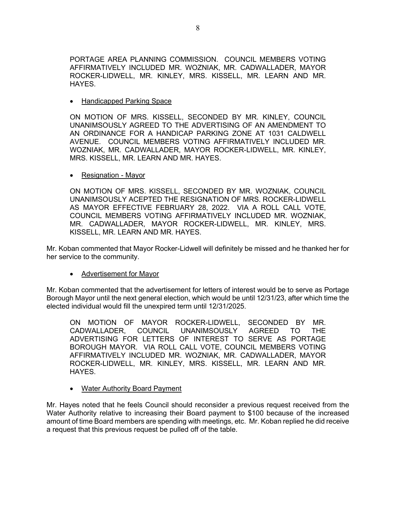PORTAGE AREA PLANNING COMMISSION. COUNCIL MEMBERS VOTING AFFIRMATIVELY INCLUDED MR. WOZNIAK, MR. CADWALLADER, MAYOR ROCKER-LIDWELL, MR. KINLEY, MRS. KISSELL, MR. LEARN AND MR. HAYES.

• Handicapped Parking Space

ON MOTION OF MRS. KISSELL, SECONDED BY MR. KINLEY, COUNCIL UNANIMSOUSLY AGREED TO THE ADVERTISING OF AN AMENDMENT TO AN ORDINANCE FOR A HANDICAP PARKING ZONE AT 1031 CALDWELL AVENUE. COUNCIL MEMBERS VOTING AFFIRMATIVELY INCLUDED MR. WOZNIAK, MR. CADWALLADER, MAYOR ROCKER-LIDWELL, MR. KINLEY, MRS. KISSELL, MR. LEARN AND MR. HAYES.

• Resignation - Mayor

ON MOTION OF MRS. KISSELL, SECONDED BY MR. WOZNIAK, COUNCIL UNANIMSOUSLY ACEPTED THE RESIGNATION OF MRS. ROCKER-LIDWELL AS MAYOR EFFECTIVE FEBRUARY 28, 2022. VIA A ROLL CALL VOTE, COUNCIL MEMBERS VOTING AFFIRMATIVELY INCLUDED MR. WOZNIAK, MR. CADWALLADER, MAYOR ROCKER-LIDWELL, MR. KINLEY, MRS. KISSELL, MR. LEARN AND MR. HAYES.

Mr. Koban commented that Mayor Rocker-Lidwell will definitely be missed and he thanked her for her service to the community.

## • Advertisement for Mayor

Mr. Koban commented that the advertisement for letters of interest would be to serve as Portage Borough Mayor until the next general election, which would be until 12/31/23, after which time the elected individual would fill the unexpired term until 12/31/2025.

ON MOTION OF MAYOR ROCKER-LIDWELL, SECONDED BY MR.<br>CADWALLADER. COUNCIL UNANIMSOUSLY AGREED TO THE CADWALLADER, COUNCIL UNANIMSOUSLY AGREED TO THE ADVERTISING FOR LETTERS OF INTEREST TO SERVE AS PORTAGE BOROUGH MAYOR. VIA ROLL CALL VOTE, COUNCIL MEMBERS VOTING AFFIRMATIVELY INCLUDED MR. WOZNIAK, MR. CADWALLADER, MAYOR ROCKER-LIDWELL, MR. KINLEY, MRS. KISSELL, MR. LEARN AND MR. HAYES.

• Water Authority Board Payment

Mr. Hayes noted that he feels Council should reconsider a previous request received from the Water Authority relative to increasing their Board payment to \$100 because of the increased amount of time Board members are spending with meetings, etc. Mr. Koban replied he did receive a request that this previous request be pulled off of the table.